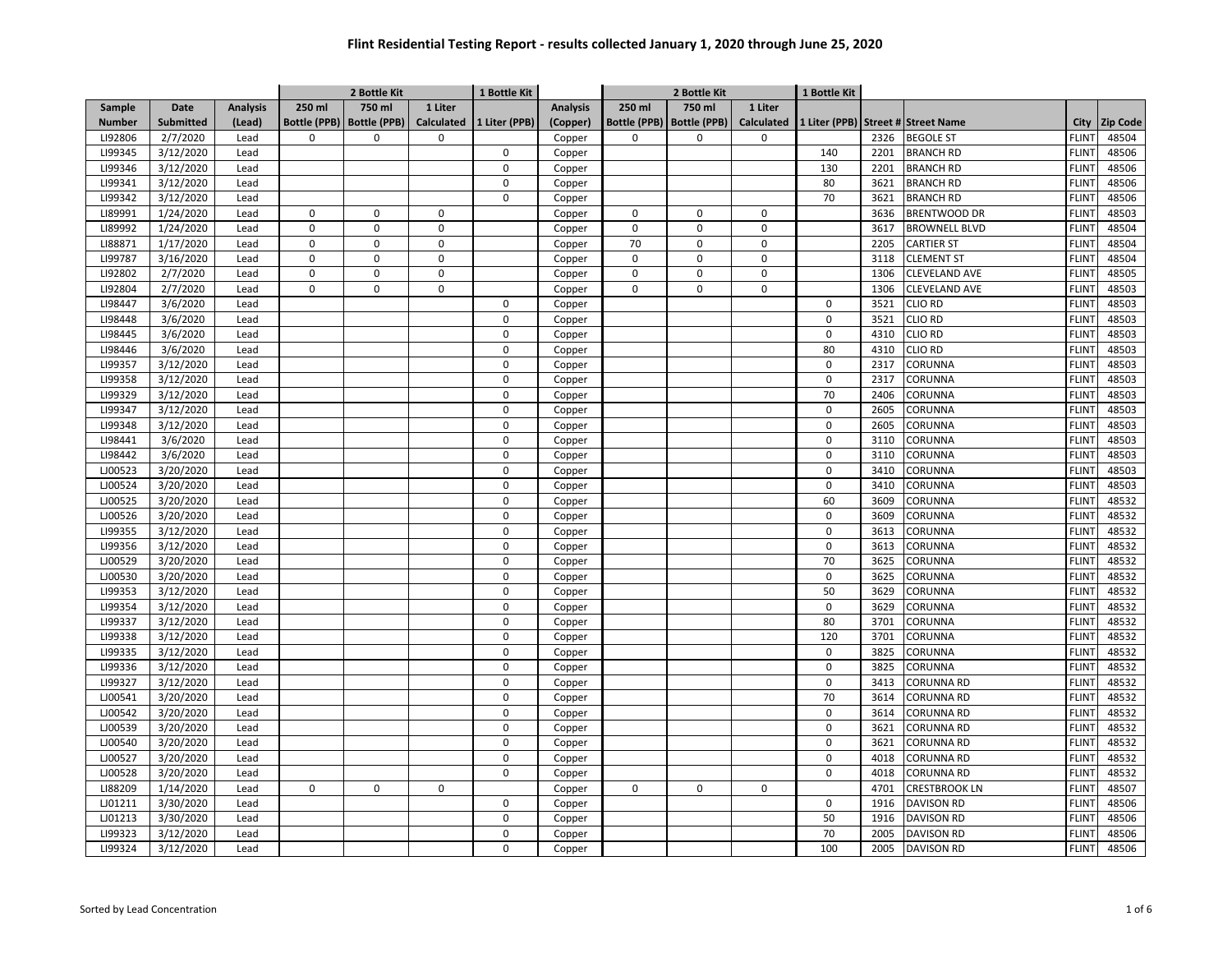|               |                  |                 |             | 2 Bottle Kit                |             | 1 Bottle Kit  |                 | 2 Bottle Kit |                             |              | 1 Bottle Kit |      |                                    |              |                 |
|---------------|------------------|-----------------|-------------|-----------------------------|-------------|---------------|-----------------|--------------|-----------------------------|--------------|--------------|------|------------------------------------|--------------|-----------------|
| Sample        | <b>Date</b>      | <b>Analysis</b> | 250 ml      | 750 ml                      | 1 Liter     |               | <b>Analysis</b> | 250 ml       | 750 ml                      | 1 Liter      |              |      |                                    |              |                 |
| <b>Number</b> | <b>Submitted</b> | (Lead)          |             | Bottle (PPB)   Bottle (PPB) | Calculated  | 1 Liter (PPB) | (Copper)        |              | Bottle (PPB)   Bottle (PPB) | Calculated   |              |      | 1 Liter (PPB) Street # Street Name | City         | <b>Zip Code</b> |
| LI92806       | 2/7/2020         | Lead            | $\mathbf 0$ | $\Omega$                    | $\Omega$    |               | Copper          | $\Omega$     | $\Omega$                    | 0            |              | 2326 | <b>BEGOLE ST</b>                   | <b>FLINT</b> | 48504           |
| LI99345       | 3/12/2020        | Lead            |             |                             |             | $\mathbf 0$   | Copper          |              |                             |              | 140          | 2201 | <b>BRANCH RD</b>                   | <b>FLINT</b> | 48506           |
| LI99346       | 3/12/2020        | Lead            |             |                             |             | 0             | Copper          |              |                             |              | 130          | 2201 | <b>BRANCH RD</b>                   | <b>FLINT</b> | 48506           |
| LI99341       | 3/12/2020        | Lead            |             |                             |             | 0             | Copper          |              |                             |              | 80           | 3621 | <b>BRANCH RD</b>                   | <b>FLINT</b> | 48506           |
| LI99342       | 3/12/2020        | Lead            |             |                             |             | $\mathbf 0$   | Copper          |              |                             |              | 70           | 3621 | <b>BRANCH RD</b>                   | <b>FLINT</b> | 48506           |
| LI89991       | 1/24/2020        | Lead            | 0           | $\mathbf 0$                 | $\mathbf 0$ |               | Copper          | $\mathsf 0$  | 0                           | 0            |              | 3636 | <b>BRENTWOOD DR</b>                | <b>FLINT</b> | 48503           |
| LI89992       | 1/24/2020        | Lead            | $\mathbf 0$ | $\mathbf 0$                 | $\Omega$    |               | Copper          | $\mathbf 0$  | $\Omega$                    | 0            |              | 3617 | <b>BROWNELL BLVD</b>               | <b>FLINT</b> | 48504           |
| LI88871       | 1/17/2020        | Lead            | 0           | $\mathbf 0$                 | $\mathbf 0$ |               | Copper          | 70           | $\Omega$                    | <sup>0</sup> |              | 2205 | CARTIER ST                         | <b>FLINT</b> | 48504           |
| LI99787       | 3/16/2020        | Lead            | $\Omega$    | $\mathbf 0$                 | $\mathbf 0$ |               | Copper          | $\Omega$     | $\Omega$                    | 0            |              | 3118 | <b>CLEMENT ST</b>                  | <b>FLINT</b> | 48504           |
| LI92802       | 2/7/2020         | Lead            | $\mathbf 0$ | $\mathbf 0$                 | $\pmb{0}$   |               | Copper          | $\Omega$     | $\Omega$                    | 0            |              | 1306 | CLEVELAND AVE                      | <b>FLINT</b> | 48505           |
| LI92804       | 2/7/2020         | Lead            | $\mathbf 0$ | $\mathbf 0$                 | $\mathbf 0$ |               | Copper          | $\mathbf 0$  | $\mathbf 0$                 | $\mathbf 0$  |              | 1306 | CLEVELAND AVE                      | <b>FLINT</b> | 48503           |
| LI98447       | 3/6/2020         | Lead            |             |                             |             | $\mathbf 0$   | Copper          |              |                             |              | $\mathbf 0$  | 3521 | CLIO RD                            | <b>FLINT</b> | 48503           |
| LI98448       | 3/6/2020         | Lead            |             |                             |             | $\mathbf 0$   | Copper          |              |                             |              | $\mathsf 0$  | 3521 | CLIO RD                            | <b>FLINT</b> | 48503           |
| LI98445       | 3/6/2020         | Lead            |             |                             |             | $\Omega$      | Copper          |              |                             |              | $\mathbf 0$  | 4310 | clio RD                            | <b>FLINT</b> | 48503           |
| LI98446       | 3/6/2020         | Lead            |             |                             |             | $\mathbf 0$   | Copper          |              |                             |              | 80           | 4310 | CLIO RD                            | <b>FLINT</b> | 48503           |
| LI99357       | 3/12/2020        | Lead            |             |                             |             | $\Omega$      | Copper          |              |                             |              | $\mathbf 0$  | 2317 | CORUNNA                            | <b>FLINT</b> | 48503           |
| LI99358       | 3/12/2020        | Lead            |             |                             |             | 0             | Copper          |              |                             |              | $\mathbf 0$  | 2317 | CORUNNA                            | <b>FLINT</b> | 48503           |
| LI99329       | 3/12/2020        | Lead            |             |                             |             | 0             | Copper          |              |                             |              | 70           | 2406 | CORUNNA                            | <b>FLINT</b> | 48503           |
| LI99347       | 3/12/2020        | Lead            |             |                             |             | 0             | Copper          |              |                             |              | $\mathsf 0$  | 2605 | CORUNNA                            | <b>FLINT</b> | 48503           |
| LI99348       | 3/12/2020        | Lead            |             |                             |             | $\Omega$      | Copper          |              |                             |              | $\mathbf 0$  | 2605 | CORUNNA                            | <b>FLINT</b> | 48503           |
| LI98441       | 3/6/2020         | Lead            |             |                             |             | $\Omega$      | Copper          |              |                             |              | 0            | 3110 | CORUNNA                            | <b>FLINT</b> | 48503           |
| LI98442       | 3/6/2020         | Lead            |             |                             |             | $\Omega$      | Copper          |              |                             |              | $\pmb{0}$    | 3110 | CORUNNA                            | <b>FLINT</b> | 48503           |
| LJ00523       | 3/20/2020        | Lead            |             |                             |             | $\Omega$      | Copper          |              |                             |              | 0            | 3410 | CORUNNA                            | <b>FLINT</b> | 48503           |
| LJ00524       | 3/20/2020        | Lead            |             |                             |             | 0             | Copper          |              |                             |              | $\pmb{0}$    | 3410 | CORUNNA                            | <b>FLINT</b> | 48503           |
| LJ00525       | 3/20/2020        | Lead            |             |                             |             | $\Omega$      | Copper          |              |                             |              | 60           | 3609 | CORUNNA                            | <b>FLINT</b> | 48532           |
| LJ00526       | 3/20/2020        | Lead            |             |                             |             | $\mathbf 0$   | Copper          |              |                             |              | $\mathsf 0$  | 3609 | CORUNNA                            | <b>FLINT</b> | 48532           |
| LI99355       | 3/12/2020        | Lead            |             |                             |             | $\mathbf 0$   | Copper          |              |                             |              | $\mathbf 0$  | 3613 | CORUNNA                            | <b>FLINT</b> | 48532           |
| LI99356       | 3/12/2020        | Lead            |             |                             |             | $\pmb{0}$     | Copper          |              |                             |              | $\mathsf 0$  | 3613 | CORUNNA                            | <b>FLINT</b> | 48532           |
| LJ00529       | 3/20/2020        | Lead            |             |                             |             | $\Omega$      | Copper          |              |                             |              | 70           | 3625 | CORUNNA                            | <b>FLINT</b> | 48532           |
| LJ00530       | 3/20/2020        | Lead            |             |                             |             | 0             | Copper          |              |                             |              | $\mathsf 0$  | 3625 | CORUNNA                            | <b>FLINT</b> | 48532           |
| LI99353       | 3/12/2020        | Lead            |             |                             |             | 0             | Copper          |              |                             |              | 50           | 3629 | CORUNNA                            | <b>FLINT</b> | 48532           |
| LI99354       | 3/12/2020        | Lead            |             |                             |             | 0             | Copper          |              |                             |              | $\pmb{0}$    | 3629 | CORUNNA                            | <b>FLINT</b> | 48532           |
| LI99337       | 3/12/2020        | Lead            |             |                             |             | $\mathbf 0$   | Copper          |              |                             |              | 80           | 3701 | CORUNNA                            | <b>FLINT</b> | 48532           |
| LI99338       | 3/12/2020        | Lead            |             |                             |             | $\Omega$      | Copper          |              |                             |              | 120          | 3701 | CORUNNA                            | <b>FLINT</b> | 48532           |
| LI99335       | 3/12/2020        | Lead            |             |                             |             | $\Omega$      | Copper          |              |                             |              | $\mathbf 0$  | 3825 | CORUNNA                            | <b>FLINT</b> | 48532           |
| LI99336       | 3/12/2020        | Lead            |             |                             |             | $\Omega$      | Copper          |              |                             |              | 0            | 3825 | CORUNNA                            | <b>FLINT</b> | 48532           |
| LI99327       | 3/12/2020        | Lead            |             |                             |             | $\Omega$      | Copper          |              |                             |              | $\mathbf 0$  | 3413 | CORUNNA RD                         | <b>FLINT</b> | 48532           |
| LJ00541       | 3/20/2020        | Lead            |             |                             |             | $\Omega$      | Copper          |              |                             |              | 70           | 3614 | CORUNNA RD                         | <b>FLINT</b> | 48532           |
| LJ00542       | 3/20/2020        | Lead            |             |                             |             | $\mathbf 0$   | Copper          |              |                             |              | $\mathsf 0$  | 3614 | CORUNNA RD                         | <b>FLINT</b> | 48532           |
| LJ00539       | 3/20/2020        | Lead            |             |                             |             | $\pmb{0}$     | Copper          |              |                             |              | $\pmb{0}$    | 3621 | CORUNNA RD                         | <b>FLINT</b> | 48532           |
| LJ00540       | 3/20/2020        | Lead            |             |                             |             | $\mathbf 0$   | Copper          |              |                             |              | $\mathsf 0$  | 3621 | CORUNNA RD                         | <b>FLINT</b> | 48532           |
| LJ00527       | 3/20/2020        | Lead            |             |                             |             | $\pmb{0}$     | Copper          |              |                             |              | $\mathbf 0$  | 4018 | CORUNNA RD                         | <b>FLINT</b> | 48532           |
| LJ00528       | 3/20/2020        | Lead            |             |                             |             | $\mathbf 0$   | Copper          |              |                             |              | $\mathbf 0$  | 4018 | CORUNNA RD                         | <b>FLINT</b> | 48532           |
| LI88209       | 1/14/2020        | Lead            | 0           | $\mathsf 0$                 | $\mathsf 0$ |               | Copper          | $\mathbf 0$  | 0                           | 0            |              | 4701 | CRESTBROOK LN                      | <b>FLINT</b> | 48507           |
| LJ01211       | 3/30/2020        | Lead            |             |                             |             | 0             | Copper          |              |                             |              | $\mathsf 0$  | 1916 | <b>DAVISON RD</b>                  | <b>FLINT</b> | 48506           |
| LJ01213       | 3/30/2020        | Lead            |             |                             |             | 0             | Copper          |              |                             |              | 50           | 1916 | <b>DAVISON RD</b>                  | <b>FLINT</b> | 48506           |
| LI99323       | 3/12/2020        | Lead            |             |                             |             | 0             | Copper          |              |                             |              | 70           | 2005 | <b>DAVISON RD</b>                  | <b>FLINT</b> | 48506           |
| LI99324       | 3/12/2020        | Lead            |             |                             |             | 0             | Copper          |              |                             |              | 100          | 2005 | <b>DAVISON RD</b>                  | <b>FLINT</b> | 48506           |
|               |                  |                 |             |                             |             |               |                 |              |                             |              |              |      |                                    |              |                 |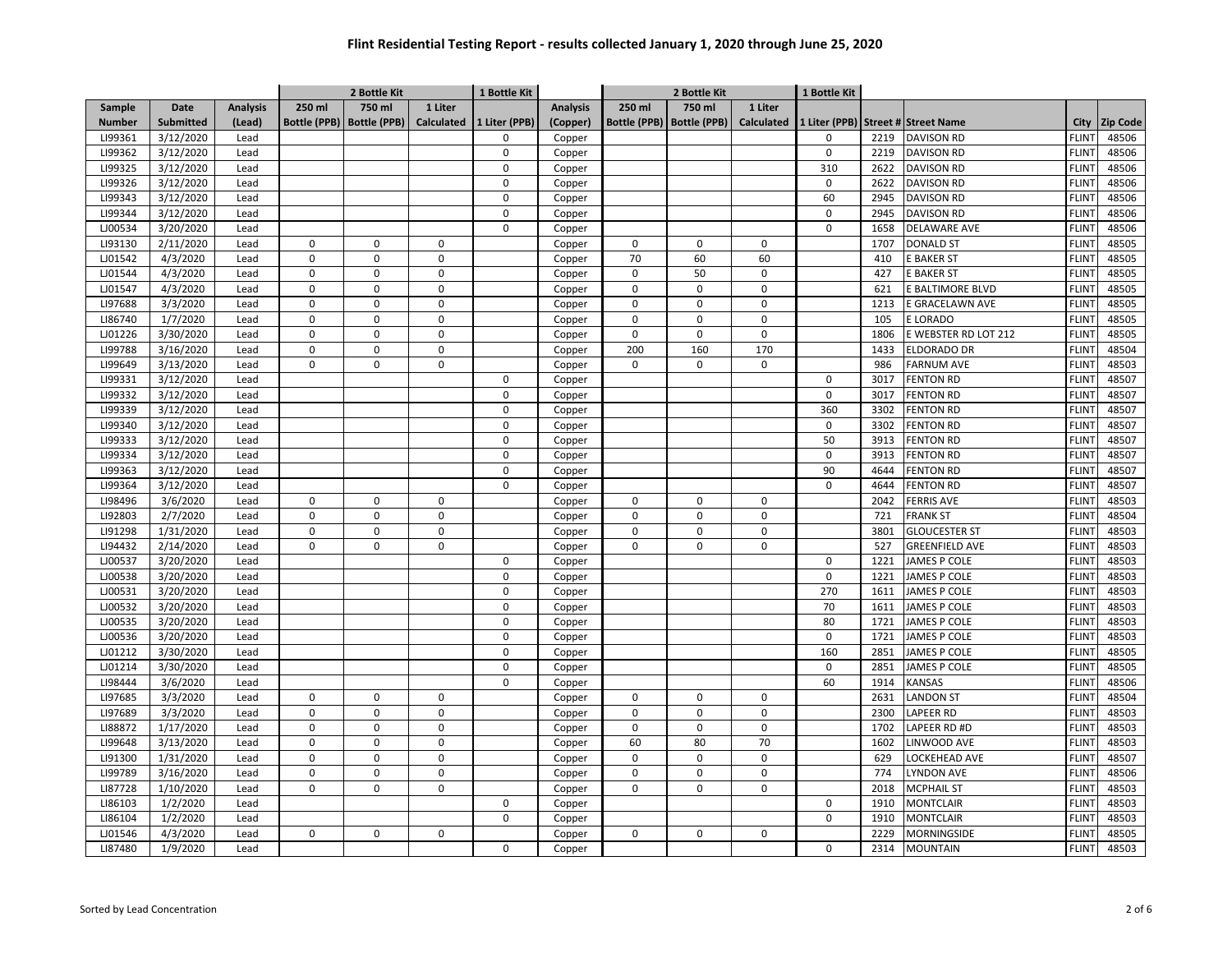|               |                  |                 |             | 2 Bottle Kit                |             | 1 Bottle Kit  |                 | 2 Bottle Kit |                             |                   | 1 Bottle Kit |      |                                    |              |          |
|---------------|------------------|-----------------|-------------|-----------------------------|-------------|---------------|-----------------|--------------|-----------------------------|-------------------|--------------|------|------------------------------------|--------------|----------|
| Sample        | <b>Date</b>      | <b>Analysis</b> | 250 ml      | 750 ml                      | 1 Liter     |               | <b>Analysis</b> | 250 ml       | 750 ml                      | 1 Liter           |              |      |                                    |              |          |
| <b>Number</b> | <b>Submitted</b> | (Lead)          |             | Bottle (PPB)   Bottle (PPB) | Calculated  | 1 Liter (PPB) | (Copper)        |              | Bottle (PPB)   Bottle (PPB) | <b>Calculated</b> |              |      | 1 Liter (PPB) Street # Street Name | City         | Zip Code |
| LI99361       | 3/12/2020        | Lead            |             |                             |             | $\Omega$      | Copper          |              |                             |                   | $\mathbf 0$  | 2219 | <b>DAVISON RD</b>                  | <b>FLINT</b> | 48506    |
| LI99362       | 3/12/2020        | Lead            |             |                             |             | $\mathbf 0$   | Copper          |              |                             |                   | $\mathsf 0$  | 2219 | <b>DAVISON RD</b>                  | <b>FLINT</b> | 48506    |
| LI99325       | 3/12/2020        | Lead            |             |                             |             | 0             | Copper          |              |                             |                   | 310          | 2622 | <b>DAVISON RD</b>                  | <b>FLINT</b> | 48506    |
| LI99326       | 3/12/2020        | Lead            |             |                             |             | 0             | Copper          |              |                             |                   | $\mathsf 0$  | 2622 | <b>DAVISON RD</b>                  | <b>FLINT</b> | 48506    |
| LI99343       | 3/12/2020        | Lead            |             |                             |             | 0             | Copper          |              |                             |                   | 60           | 2945 | <b>DAVISON RD</b>                  | <b>FLINT</b> | 48506    |
| LI99344       | 3/12/2020        | Lead            |             |                             |             | $\Omega$      | Copper          |              |                             |                   | 0            | 2945 | <b>DAVISON RD</b>                  | <b>FLINT</b> | 48506    |
| LJ00534       | 3/20/2020        | Lead            |             |                             |             | $\Omega$      | Copper          |              |                             |                   | 0            | 1658 | DELAWARE AVE                       | <b>FLINT</b> | 48506    |
| LI93130       | 2/11/2020        | Lead            | $\mathbf 0$ | $\mathbf 0$                 | $\mathbf 0$ |               | Copper          | $\Omega$     | $\mathbf 0$                 | 0                 |              | 1707 | <b>DONALD ST</b>                   | <b>FLINT</b> | 48505    |
| LJ01542       | 4/3/2020         | Lead            | $\mathbf 0$ | $\mathbf 0$                 | $\mathbf 0$ |               | Copper          | 70           | 60                          | 60                |              | 410  | <b>BAKER ST</b>                    | <b>FLINT</b> | 48505    |
| LJ01544       | 4/3/2020         | Lead            | $\mathbf 0$ | $\mathbf 0$                 | $\mathbf 0$ |               | Copper          | $\Omega$     | 50                          | 0                 |              | 427  | E BAKER ST                         | <b>FLINT</b> | 48505    |
| LJ01547       | 4/3/2020         | Lead            | 0           | $\mathbf 0$                 | $\mathsf 0$ |               | Copper          | $\mathbf 0$  | $\mathbf 0$                 | $\pmb{0}$         |              | 621  | E BALTIMORE BLVD                   | <b>FLINT</b> | 48505    |
| LI97688       | 3/3/2020         | Lead            | 0           | $\mathbf 0$                 | $\mathbf 0$ |               | Copper          | $\mathbf 0$  | $\mathbf 0$                 | 0                 |              | 1213 | E GRACELAWN AVE                    | <b>FLINT</b> | 48505    |
| LI86740       | 1/7/2020         | Lead            | 0           | $\mathbf 0$                 | $\mathsf 0$ |               | Copper          | $\mathsf 0$  | $\mathsf 0$                 | 0                 |              | 105  | E LORADO                           | <b>FLINT</b> | 48505    |
| LJ01226       | 3/30/2020        | Lead            | 0           | $\mathbf 0$                 | $\mathbf 0$ |               | Copper          | $\mathbf 0$  | $\mathbf 0$                 | 0                 |              | 1806 | E WEBSTER RD LOT 212               | <b>FLINT</b> | 48505    |
| LI99788       | 3/16/2020        | Lead            | 0           | $\mathbf 0$                 | $\mathsf 0$ |               | Copper          | 200          | 160                         | 170               |              | 1433 | <b>ELDORADO DR</b>                 | <b>FLINT</b> | 48504    |
| LI99649       | 3/13/2020        | Lead            | $\mathbf 0$ | $\mathbf 0$                 | $\mathbf 0$ |               | Copper          | $\Omega$     | $\mathbf 0$                 | 0                 |              | 986  | <b>FARNUM AVE</b>                  | <b>FLINT</b> | 48503    |
| LI99331       | 3/12/2020        | Lead            |             |                             |             | $\mathbf 0$   | Copper          |              |                             |                   | $\mathsf 0$  | 3017 | <b>FENTON RD</b>                   | <b>FLINT</b> | 48507    |
| LI99332       | 3/12/2020        | Lead            |             |                             |             | $\mathbf 0$   | Copper          |              |                             |                   | $\mathbf 0$  | 3017 | <b>FENTON RD</b>                   | <b>FLINT</b> | 48507    |
| LI99339       | 3/12/2020        | Lead            |             |                             |             | $\Omega$      | Copper          |              |                             |                   | 360          | 3302 | <b>FENTON RD</b>                   | <b>FLINT</b> | 48507    |
| LI99340       | 3/12/2020        | Lead            |             |                             |             | $\Omega$      | Copper          |              |                             |                   | $\mathbf 0$  | 3302 | <b>FENTON RD</b>                   | <b>FLINT</b> | 48507    |
| LI99333       | 3/12/2020        | Lead            |             |                             |             | $\Omega$      | Copper          |              |                             |                   | 50           | 3913 | <b>FENTON RD</b>                   | <b>FLINT</b> | 48507    |
| LI99334       | 3/12/2020        | Lead            |             |                             |             | $\Omega$      | Copper          |              |                             |                   | $\pmb{0}$    | 3913 | <b>FENTON RD</b>                   | <b>FLINT</b> | 48507    |
| LI99363       | 3/12/2020        | Lead            |             |                             |             | $\Omega$      | Copper          |              |                             |                   | 90           | 4644 | <b>FENTON RD</b>                   | <b>FLINT</b> | 48507    |
| LI99364       | 3/12/2020        | Lead            |             |                             |             | $\mathbf 0$   | Copper          |              |                             |                   | $\mathbf 0$  | 4644 | <b>FENTON RD</b>                   | <b>FLINT</b> | 48507    |
| LI98496       | 3/6/2020         | Lead            | 0           | $\mathbf 0$                 | $\mathbf 0$ |               | Copper          | $\mathbf 0$  | 0                           | $\mathsf 0$       |              | 2042 | <b>FERRIS AVE</b>                  | <b>FLINT</b> | 48503    |
| LI92803       | 2/7/2020         | Lead            | 0           | $\mathbf 0$                 | $\mathbf 0$ |               | Copper          | $\pmb{0}$    | $\pmb{0}$                   | 0                 |              | 721  | <b>FRANK ST</b>                    | <b>FLINT</b> | 48504    |
| LI91298       | 1/31/2020        | Lead            | 0           | $\mathbf 0$                 | $\mathbf 0$ |               | Copper          | $\mathbf 0$  | $\mathbf 0$                 | 0                 |              | 3801 | <b>GLOUCESTER ST</b>               | <b>FLINT</b> | 48503    |
| LI94432       | 2/14/2020        | Lead            | 0           | $\mathbf 0$                 | $\mathbf 0$ |               | Copper          | $\mathbf 0$  | $\mathbf 0$                 | 0                 |              | 527  | <b>GREENFIELD AVE</b>              | <b>FLINT</b> | 48503    |
| LJ00537       | 3/20/2020        | Lead            |             |                             |             | $\mathbf 0$   | Copper          |              |                             |                   | $\mathbf 0$  | 1221 | <b>JAMES P COLE</b>                | <b>FLINT</b> | 48503    |
| LJ00538       | 3/20/2020        | Lead            |             |                             |             | 0             | Copper          |              |                             |                   | $\mathsf 0$  | 1221 | <b>JAMES P COLE</b>                | <b>FLINT</b> | 48503    |
| LJ00531       | 3/20/2020        | Lead            |             |                             |             | 0             | Copper          |              |                             |                   | 270          | 1611 | <b>JAMES P COLE</b>                | <b>FLINT</b> | 48503    |
| LJ00532       | 3/20/2020        | Lead            |             |                             |             | $\Omega$      | Copper          |              |                             |                   | 70           | 1611 | JAMES P COLE                       | <b>FLINT</b> | 48503    |
| LJ00535       | 3/20/2020        | Lead            |             |                             |             | $\Omega$      | Copper          |              |                             |                   | 80           | 1721 | JAMES P COLE                       | <b>FLINT</b> | 48503    |
| LJ00536       | 3/20/2020        | Lead            |             |                             |             | $\Omega$      | Copper          |              |                             |                   | $\mathbf 0$  | 1721 | JAMES P COLE                       | <b>FLINT</b> | 48503    |
| LJ01212       | 3/30/2020        | Lead            |             |                             |             | $\Omega$      | Copper          |              |                             |                   | 160          | 2851 | JAMES P COLE                       | <b>FLINT</b> | 48505    |
| LJ01214       | 3/30/2020        | Lead            |             |                             |             | $\Omega$      | Copper          |              |                             |                   | $\pmb{0}$    | 2851 | JAMES P COLE                       | <b>FLINT</b> | 48505    |
| LI98444       | 3/6/2020         | Lead            |             |                             |             | 0             | Copper          |              |                             |                   | 60           | 1914 | <b><i>CANSAS</i></b>               | <b>FLINT</b> | 48506    |
| LI97685       | 3/3/2020         | Lead            | $\mathbf 0$ | $\mathbf 0$                 | $\mathbf 0$ |               | Copper          | $\mathbf 0$  | $\mathbf 0$                 | $\mathbf 0$       |              | 2631 | <b>LANDON ST</b>                   | <b>FLINT</b> | 48504    |
| LI97689       | 3/3/2020         | Lead            | 0           | $\mathbf 0$                 | $\mathsf 0$ |               | Copper          | $\mathsf 0$  | $\mathsf 0$                 | 0                 |              | 2300 | LAPEER RD                          | <b>FLINT</b> | 48503    |
| LI88872       | 1/17/2020        | Lead            | 0           | $\mathbf 0$                 | $\mathbf 0$ |               | Copper          | $\mathbf 0$  | $\mathbf 0$                 | 0                 |              | 1702 | LAPEER RD #D                       | <b>FLINT</b> | 48503    |
| LI99648       | 3/13/2020        | Lead            | 0           | $\mathbf 0$                 | $\mathsf 0$ |               | Copper          | 60           | 80                          | 70                |              | 1602 | LINWOOD AVE                        | <b>FLINT</b> | 48503    |
| LI91300       | 1/31/2020        | Lead            | 0           | $\mathbf 0$                 | $\mathbf 0$ |               | Copper          | $\mathbf 0$  | $\mathbf 0$                 | 0                 |              | 629  | <b>OCKEHEAD AVE</b>                | <b>FLINT</b> | 48507    |
| LI99789       | 3/16/2020        | Lead            | 0           | $\mathbf 0$                 | $\mathbf 0$ |               | Copper          | $\mathbf 0$  | $\mathsf 0$                 | 0                 |              | 774  | LYNDON AVE                         | <b>FLINT</b> | 48506    |
| LI87728       | 1/10/2020        | Lead            | $\mathbf 0$ | $\mathbf 0$                 | $\mathbf 0$ |               | Copper          | $\mathbf 0$  | $\mathbf 0$                 | $\mathbf 0$       |              | 2018 | <b>MCPHAIL ST</b>                  | <b>FLINT</b> | 48503    |
| LI86103       | 1/2/2020         | Lead            |             |                             |             | $\Omega$      | Copper          |              |                             |                   | $\mathbf 0$  | 1910 | <b>MONTCLAIR</b>                   | <b>FLINT</b> | 48503    |
| LI86104       | 1/2/2020         | Lead            |             |                             |             | $\Omega$      | Copper          |              |                             |                   | 0            | 1910 | <b>MONTCLAIR</b>                   | FLINT        | 48503    |
| LJ01546       | 4/3/2020         | Lead            | $\mathbf 0$ | $\mathbf 0$                 | 0           |               | Copper          | $\Omega$     | $\Omega$                    | 0                 |              | 2229 | MORNINGSIDE                        | FLINT        | 48505    |
| LI87480       | 1/9/2020         | Lead            |             |                             |             | 0             | Copper          |              |                             |                   | 0            | 2314 | <b>MOUNTAIN</b>                    | <b>FLINT</b> | 48503    |
|               |                  |                 |             |                             |             |               |                 |              |                             |                   |              |      |                                    |              |          |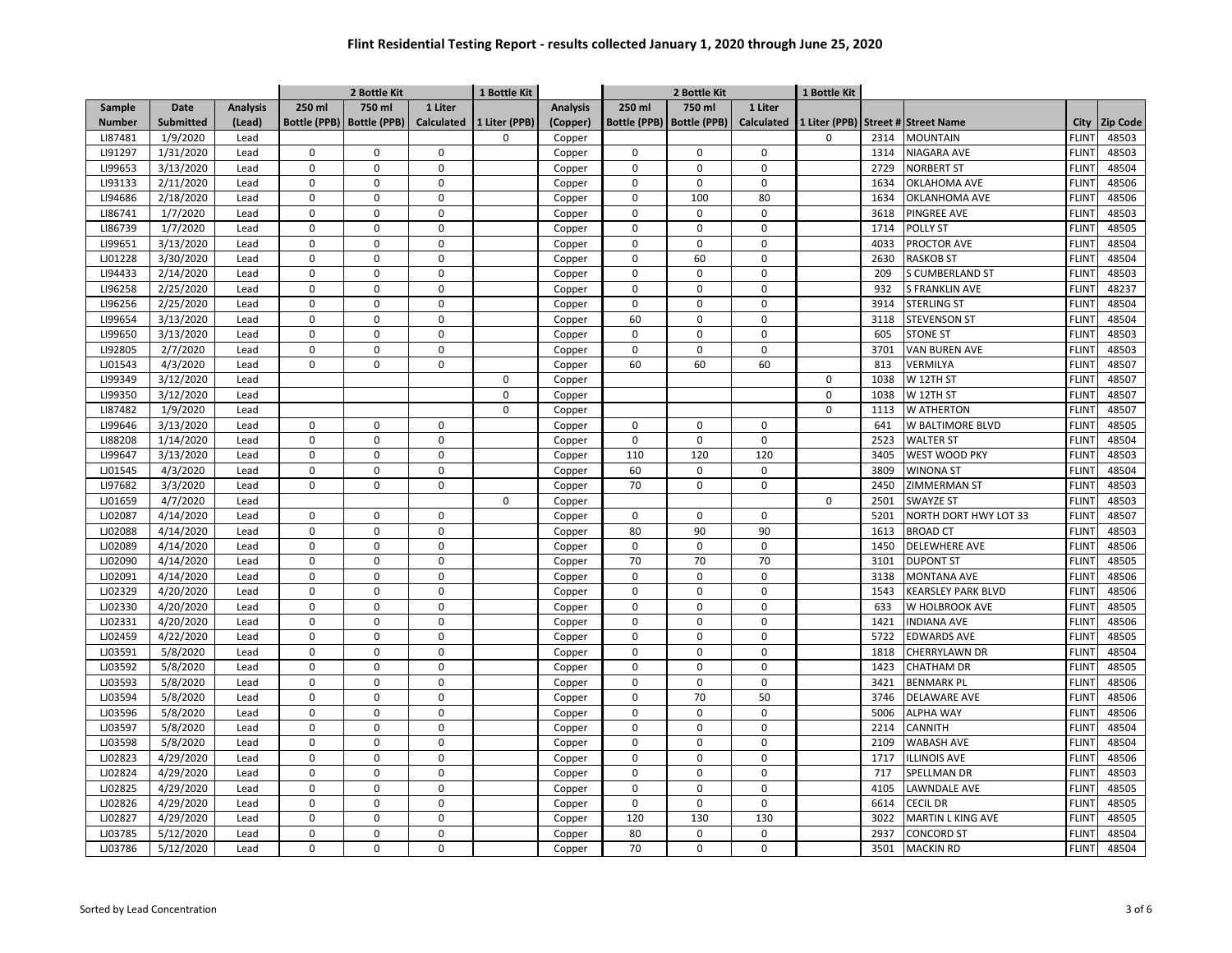|               |                  |                 | 1 Bottle Kit<br>2 Bottle Kit |                     |                   |               |                 | 2 Bottle Kit        |                     |                   | 1 Bottle Kit  |      |                             |                   |                 |
|---------------|------------------|-----------------|------------------------------|---------------------|-------------------|---------------|-----------------|---------------------|---------------------|-------------------|---------------|------|-----------------------------|-------------------|-----------------|
| Sample        | Date             | <b>Analysis</b> | 250 ml                       | 750 ml              | 1 Liter           |               | <b>Analysis</b> | 250 ml              | 750 ml              | 1 Liter           |               |      |                             |                   |                 |
| <b>Number</b> | <b>Submitted</b> | (Lead)          | <b>Bottle (PPB)</b>          | <b>Bottle (PPB)</b> | <b>Calculated</b> | 1 Liter (PPB) | (Copper)        | <b>Bottle (PPB)</b> | <b>Bottle (PPB)</b> | <b>Calculated</b> | 1 Liter (PPB) |      | <b>Street # Street Name</b> | City              | <b>Zip Code</b> |
| LI87481       | 1/9/2020         | Lead            |                              |                     |                   | $\Omega$      | Copper          |                     |                     |                   | 0             | 2314 | <b>MOUNTAIN</b>             | <b>FLINT</b>      | 48503           |
| LI91297       | 1/31/2020        | Lead            | $\mathbf 0$                  | $\pmb{0}$           | 0                 |               | Copper          | $\mathsf 0$         | $\mathsf 0$         | 0                 |               | 1314 | NIAGARA AVE                 | <b>FLINT</b>      | 48503           |
| LI99653       | 3/13/2020        | Lead            | $\mathbf 0$                  | $\mathbf 0$         | $\mathbf 0$       |               | Copper          | $\mathbf 0$         | $\mathbf 0$         | $\Omega$          |               | 2729 | <b>NORBERT ST</b>           | <b>FLINT</b>      | 48504           |
| LI93133       | 2/11/2020        | Lead            | $\mathbf 0$                  | $\pmb{0}$           | $\pmb{0}$         |               | Copper          | $\mathbf 0$         | $\mathbf 0$         | $\Omega$          |               | 1634 | OKLAHOMA AVE                | FLIN <sup>-</sup> | 48506           |
| LI94686       | 2/18/2020        | Lead            | $\mathbf 0$                  | $\mathbf 0$         | $\mathbf 0$       |               | Copper          | $\mathbf 0$         | 100                 | 80                |               | 1634 | OKLANHOMA AVE               | <b>FLINT</b>      | 48506           |
| LI86741       | 1/7/2020         | Lead            | $\mathbf 0$                  | $\pmb{0}$           | $\pmb{0}$         |               | Copper          | $\mathbf 0$         | $\mathbf 0$         | $\mathbf 0$       |               | 3618 | <b>PINGREE AVE</b>          | <b>FLINT</b>      | 48503           |
| LI86739       | 1/7/2020         | Lead            | $\mathbf 0$                  | $\mathbf 0$         | $\mathbf 0$       |               | Copper          | $\mathbf 0$         | $\Omega$            | $\mathbf 0$       |               | 1714 | <b>POLLY ST</b>             | <b>FLINT</b>      | 48505           |
| LI99651       | 3/13/2020        | Lead            | $\Omega$                     | $\pmb{0}$           | $\mathbf 0$       |               | Copper          | $\mathbf 0$         | $\mathbf 0$         | $\Omega$          |               | 4033 | PROCTOR AVE                 | <b>FLINT</b>      | 48504           |
| LJ01228       | 3/30/2020        | Lead            | $\Omega$                     | $\mathbf 0$         | $\Omega$          |               | Copper          | $\Omega$            | 60                  | $\Omega$          |               | 2630 | <b>RASKOB ST</b>            | <b>FLINT</b>      | 48504           |
| LI94433       | 2/14/2020        | Lead            | $\Omega$                     | $\Omega$            | $\mathbf 0$       |               | Copper          | $\mathbf 0$         | $\mathbf 0$         | 0                 |               | 209  | <b>S CUMBERLAND ST</b>      | <b>FLINT</b>      | 48503           |
| LI96258       | 2/25/2020        | Lead            | $\pmb{0}$                    | $\pmb{0}$           | $\mathbf 0$       |               | Copper          | $\Omega$            | $\Omega$            | $\Omega$          |               | 932  | <b>S FRANKLIN AVE</b>       | FLIN <sup>-</sup> | 48237           |
| LI96256       | 2/25/2020        | Lead            | 0                            | $\mathbf 0$         | $\mathbf 0$       |               | Copper          | $\mathbf 0$         | $\mathbf 0$         | $\Omega$          |               | 3914 | <b>STERLING ST</b>          | <b>FLINT</b>      | 48504           |
| LI99654       | 3/13/2020        | Lead            | $\pmb{0}$                    | $\Omega$            | $\mathbf 0$       |               | Copper          | 60                  | $\Omega$            | $\Omega$          |               | 3118 | <b>STEVENSON ST</b>         | <b>FLINT</b>      | 48504           |
| LI99650       | 3/13/2020        | Lead            | $\Omega$                     | $\Omega$            | $\mathbf 0$       |               | Copper          | $\mathbf 0$         | $\mathbf 0$         | $\Omega$          |               | 605  | <b>STONE ST</b>             | <b>FLINT</b>      | 48503           |
| LI92805       | 2/7/2020         | Lead            | $\pmb{0}$                    | $\pmb{0}$           | $\mathbf 0$       |               | Copper          | 0                   | 0                   | $\mathbf 0$       |               | 3701 | VAN BUREN AVE               | <b>FLINT</b>      | 48503           |
| LJ01543       | 4/3/2020         | Lead            | $\Omega$                     | $\mathbf 0$         | $\mathbf 0$       |               | Copper          | 60                  | 60                  | 60                |               | 813  | VERMILYA                    | <b>FLINT</b>      | 48507           |
| LI99349       | 3/12/2020        | Lead            |                              |                     |                   | $\mathbf 0$   | Copper          |                     |                     |                   | $\mathsf 0$   | 1038 | W 12TH ST                   | FLIN <sup>-</sup> | 48507           |
| LI99350       | 3/12/2020        | Lead            |                              |                     |                   | $\mathbf 0$   | Copper          |                     |                     |                   | $\mathbf 0$   | 1038 | W 12TH ST                   | FLIN <sup>-</sup> | 48507           |
| LI87482       | 1/9/2020         | Lead            |                              |                     |                   | $\mathbf 0$   | Copper          |                     |                     |                   | $\mathbf 0$   | 1113 | <b>W ATHERTON</b>           | <b>FLINT</b>      | 48507           |
| LI99646       | 3/13/2020        | Lead            | $\mathbf 0$                  | $\mathbf 0$         | $\mathbf 0$       |               | Copper          | 0                   | 0                   | $\mathsf 0$       |               | 641  | W BALTIMORE BLVD            | <b>FLINT</b>      | 48505           |
| LI88208       | 1/14/2020        | Lead            | $\mathbf 0$                  | $\pmb{0}$           | $\mathsf 0$       |               | Copper          | $\mathbf 0$         | 0                   | $\mathbf 0$       |               | 2523 | <b>WALTER ST</b>            | <b>FLINT</b>      | 48504           |
| LI99647       | 3/13/2020        | Lead            | $\Omega$                     | $\mathbf 0$         | $\Omega$          |               | Copper          | 110                 | 120                 | 120               |               | 3405 | WEST WOOD PKY               | <b>FLINT</b>      | 48503           |
| LJ01545       | 4/3/2020         | Lead            | $\Omega$                     | $\mathbf 0$         | $\mathbf 0$       |               | Copper          | 60                  | $\mathbf 0$         | $\Omega$          |               | 3809 | <b>WINONA ST</b>            | <b>FLINT</b>      | 48504           |
| LI97682       | 3/3/2020         | Lead            | $\mathbf 0$                  | $\mathbf 0$         | $\mathbf 0$       |               | Copper          | 70                  | $\mathbf 0$         | $\Omega$          |               | 2450 | ZIMMERMAN ST                | FLIN <sup>-</sup> | 48503           |
| LJ01659       | 4/7/2020         | Lead            |                              |                     |                   | $\mathbf 0$   | Copper          |                     |                     |                   | 0             | 2501 | <b>SWAYZE ST</b>            | <b>FLINT</b>      | 48503           |
| LJ02087       | 4/14/2020        | Lead            | $\mathbf 0$                  | $\mathbf 0$         | $\mathbf 0$       |               | Copper          | $\mathbf 0$         | $\mathbf 0$         | $\mathbf 0$       |               | 5201 | NORTH DORT HWY LOT 33       | FLIN <sup>-</sup> | 48507           |
| LJ02088       | 4/14/2020        | Lead            | $\pmb{0}$                    | $\pmb{0}$           | $\mathbf 0$       |               | Copper          | 80                  | 90                  | 90                |               | 1613 | <b>BROAD CT</b>             | <b>FLINT</b>      | 48503           |
| LJ02089       | 4/14/2020        | Lead            | $\mathbf 0$                  | $\pmb{0}$           | $\pmb{0}$         |               | Copper          | 0                   | $\mathsf 0$         | $\mathbf 0$       |               | 1450 | <b>DELEWHERE AVE</b>        | <b>FLINT</b>      | 48506           |
| LJ02090       | 4/14/2020        | Lead            | $\mathbf 0$                  | $\pmb{0}$           | $\mathbf 0$       |               | Copper          | 70                  | 70                  | 70                |               | 3101 | <b>DUPONT ST</b>            | <b>FLINT</b>      | 48505           |
| LJ02091       | 4/14/2020        | Lead            | $\mathbf 0$                  | $\mathbf 0$         | $\mathbf 0$       |               | Copper          | $\mathbf 0$         | $\mathbf 0$         | $\mathbf 0$       |               | 3138 | <b>MONTANA AVE</b>          | FLIN <sup>-</sup> | 48506           |
| LJ02329       | 4/20/2020        | Lead            | $\pmb{0}$                    | $\pmb{0}$           | $\mathbf 0$       |               | Copper          | $\mathbf 0$         | $\mathbf 0$         | $\mathbf 0$       |               | 1543 | <b>KEARSLEY PARK BLVD</b>   | FLIN <sup>-</sup> | 48506           |
| LJ02330       | 4/20/2020        | Lead            | $\mathbf 0$                  | $\mathbf 0$         | $\mathbf 0$       |               | Copper          | $\mathbf 0$         | $\mathbf 0$         | $\mathbf 0$       |               | 633  | W HOLBROOK AVE              | <b>FLINT</b>      | 48505           |
| LJ02331       | 4/20/2020        | Lead            | $\pmb{0}$                    | $\pmb{0}$           | $\pmb{0}$         |               | Copper          | 0                   | $\mathsf 0$         | $\pmb{0}$         |               | 1421 | <b>INDIANA AVE</b>          | <b>FLINT</b>      | 48506           |
| LJ02459       | 4/22/2020        | Lead            | $\mathbf 0$                  | $\mathbf 0$         | $\mathbf 0$       |               | Copper          | $\mathbf 0$         | $\mathbf 0$         | $\Omega$          |               | 5722 | <b>EDWARDS AVE</b>          | <b>FLINT</b>      | 48505           |
| LJ03591       | 5/8/2020         | Lead            | $\Omega$                     | $\pmb{0}$           | $\mathbf 0$       |               | Copper          | $\Omega$            | $\mathbf 0$         | $\Omega$          |               | 1818 | CHERRYLAWN DR               | <b>FLINT</b>      | 48504           |
| LJ03592       | 5/8/2020         | Lead            | $\Omega$                     | $\Omega$            | $\mathbf 0$       |               | Copper          | $\Omega$            | $\Omega$            | $\Omega$          |               | 1423 | <b>CHATHAM DR</b>           | <b>FLINT</b>      | 48505           |
| LJ03593       | 5/8/2020         | Lead            | $\Omega$                     | $\mathbf 0$         | $\mathbf 0$       |               | Copper          | $\mathbf 0$         | $\mathbf 0$         | $\Omega$          |               | 3421 | <b>BENMARK PL</b>           | <b>FLINT</b>      | 48506           |
| LJ03594       | 5/8/2020         | Lead            | $\Omega$                     | $\Omega$            | $\mathbf 0$       |               | Copper          | $\mathbf 0$         | 70                  | 50                |               | 3746 | DELAWARE AVE                | FLIN <sup>-</sup> | 48506           |
| LJ03596       | 5/8/2020         | Lead            | $\pmb{0}$                    | $\pmb{0}$           | $\mathbf 0$       |               | Copper          | $\mathbf 0$         | $\mathbf 0$         | $\mathbf{0}$      |               | 5006 | <b>ALPHA WAY</b>            | <b>FLINT</b>      | 48506           |
| LJ03597       | 5/8/2020         | Lead            | $\pmb{0}$                    | $\pmb{0}$           | $\mathbf 0$       |               | Copper          | $\mathsf 0$         | $\mathsf 0$         | $\mathbf 0$       |               | 2214 | CANNITH                     | <b>FLINT</b>      | 48504           |
| LJ03598       | 5/8/2020         | Lead            | $\mathbf 0$                  | $\Omega$            | $\mathbf 0$       |               | Copper          | $\mathbf 0$         | $\mathbf 0$         | $\mathbf 0$       |               | 2109 | <b>WABASH AVE</b>           | <b>FLINT</b>      | 48504           |
| LJ02823       | 4/29/2020        | Lead            | $\Omega$                     | $\mathbf 0$         | $\pmb{0}$         |               | Copper          | $\mathsf 0$         | $\mathsf 0$         | $\Omega$          |               | 1717 | <b>ILLINOIS AVE</b>         | <b>FLINT</b>      | 48506           |
| LJ02824       | 4/29/2020        | Lead            | $\Omega$                     | $\mathbf 0$         | $\mathbf 0$       |               | Copper          | $\mathbf 0$         | $\mathbf 0$         | $\mathbf 0$       |               | 717  | SPELLMAN DR                 | <b>FLINT</b>      | 48503           |
| LJ02825       | 4/29/2020        | Lead            | $\pmb{0}$                    | $\pmb{0}$           | $\mathbf 0$       |               | Copper          | $\Omega$            | $\Omega$            | $\Omega$          |               | 4105 | LAWNDALE AVE                | <b>FLINT</b>      | 48505           |
| LJ02826       | 4/29/2020        | Lead            | $\mathbf 0$                  | $\mathbf 0$         | $\mathsf 0$       |               | Copper          | $\mathbf 0$         | $\mathbf 0$         | $\mathbf 0$       |               | 6614 | <b>CECIL DR</b>             | FLIN <sup>-</sup> | 48505           |
| LJ02827       | 4/29/2020        | Lead            | $\pmb{0}$                    | $\pmb{0}$           | $\mathsf 0$       |               | Copper          | 120                 | 130                 | 130               |               | 3022 | MARTIN L KING AVE           | <b>FLINT</b>      | 48505           |
| LJ03785       | 5/12/2020        | Lead            | $\mathbf 0$                  | $\mathbf 0$         | $\mathbf 0$       |               | Copper          | 80                  | $\mathbf 0$         | $\mathbf 0$       |               | 2937 | <b>CONCORD ST</b>           | <b>FLINT</b>      | 48504           |
| LJ03786       | 5/12/2020        | Lead            | $\Omega$                     | $\mathbf 0$         | $\mathbf 0$       |               | Copper          | 70                  | $\mathbf 0$         | $\mathbf 0$       |               | 3501 | <b>MACKIN RD</b>            | <b>FLINT</b>      | 48504           |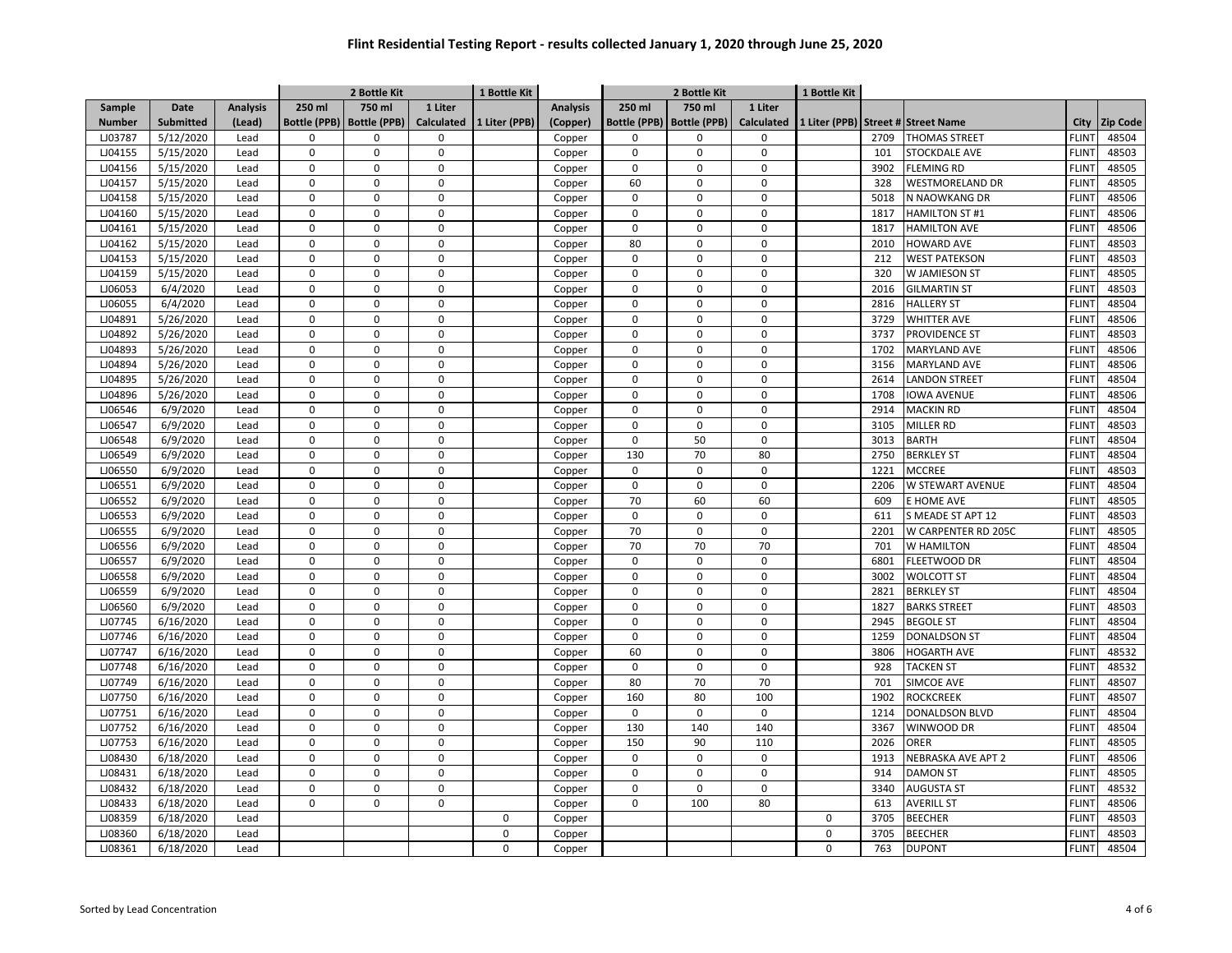|               |           | 1 Bottle Kit<br>2 Bottle Kit |                     |                     |                   |               |                 |                     | 2 Bottle Kit        |                   | 1 Bottle Kit |      |                                    |                   |                 |
|---------------|-----------|------------------------------|---------------------|---------------------|-------------------|---------------|-----------------|---------------------|---------------------|-------------------|--------------|------|------------------------------------|-------------------|-----------------|
| Sample        | Date      | <b>Analysis</b>              | 250 ml              | 750 ml              | 1 Liter           |               | <b>Analysis</b> | 250 ml              | 750 ml              | 1 Liter           |              |      |                                    |                   |                 |
| <b>Number</b> | Submitted | (Lead)                       | <b>Bottle (PPB)</b> | <b>Bottle (PPB)</b> | <b>Calculated</b> | 1 Liter (PPB) | (Copper)        | <b>Bottle (PPB)</b> | <b>Bottle (PPB)</b> | <b>Calculated</b> |              |      | 1 Liter (PPB) Street # Street Name | City              | <b>Zip Code</b> |
| LJ03787       | 5/12/2020 | Lead                         | $\Omega$            | $\Omega$            | $\mathbf 0$       |               | Copper          | $\Omega$            | $\Omega$            | $\Omega$          |              | 2709 | <b>THOMAS STREET</b>               | <b>FLINT</b>      | 48504           |
| LJ04155       | 5/15/2020 | Lead                         | 0                   | 0                   | $\pmb{0}$         |               | Copper          | $\mathbf 0$         | $\mathbf 0$         | $\pmb{0}$         |              | 101  | STOCKDALE AVE                      | <b>FLINT</b>      | 48503           |
| LJ04156       | 5/15/2020 | Lead                         | 0                   | $\Omega$            | $\mathbf 0$       |               | Copper          | $\mathbf 0$         | $\mathbf 0$         | $\mathbf 0$       |              | 3902 | <b>FLEMING RD</b>                  | <b>FLINT</b>      | 48505           |
| LJ04157       | 5/15/2020 | Lead                         | 0                   | $\mathbf 0$         | $\pmb{0}$         |               | Copper          | 60                  | $\mathbf 0$         | $\Omega$          |              | 328  | <b>WESTMORELAND DR</b>             | <b>FLINT</b>      | 48505           |
| LJ04158       | 5/15/2020 | Lead                         | 0                   | 0                   | $\mathbf 0$       |               | Copper          | $\mathbf 0$         | $\mathbf 0$         | $\mathbf 0$       |              | 5018 | N NAOWKANG DR                      | <b>FLINT</b>      | 48506           |
| LJ04160       | 5/15/2020 | Lead                         | 0                   | 0                   | $\mathsf 0$       |               | Copper          | $\mathbf 0$         | $\mathbf 0$         | $\mathbf 0$       |              | 1817 | <b>HAMILTON ST #1</b>              | <b>FLINT</b>      | 48506           |
| LJ04161       | 5/15/2020 | Lead                         | 0                   | $\mathsf{O}\xspace$ | $\mathbf 0$       |               | Copper          | $\mathbf 0$         | $\mathbf 0$         | $\mathbf 0$       |              | 1817 | <b>HAMILTON AVE</b>                | <b>FLINT</b>      | 48506           |
| LJ04162       | 5/15/2020 | Lead                         | $\Omega$            | 0                   | 0                 |               | Copper          | 80                  | $\Omega$            | $\Omega$          |              | 2010 | <b>HOWARD AVE</b>                  | <b>FLINT</b>      | 48503           |
| LJ04153       | 5/15/2020 | Lead                         | $\Omega$            | $\Omega$            | $\Omega$          |               | Copper          | $\Omega$            | $\Omega$            | $\Omega$          |              | 212  | <b>WEST PATEKSON</b>               | <b>FLINT</b>      | 48503           |
| LJ04159       | 5/15/2020 | Lead                         | $\Omega$            | $\Omega$            | $\mathbf 0$       |               | Copper          | $\mathbf 0$         | $\Omega$            | $\overline{0}$    |              | 320  | W JAMIESON ST                      | <b>FLINT</b>      | 48505           |
| LJ06053       | 6/4/2020  | Lead                         | 0                   | $\Omega$            | $\Omega$          |               | Copper          | $\Omega$            | $\Omega$            | $\Omega$          |              | 2016 | <b>GILMARTIN ST</b>                | <b>FLINT</b>      | 48503           |
| LJ06055       | 6/4/2020  | Lead                         | 0                   | $\Omega$            | $\mathbf 0$       |               | Copper          | $\mathbf 0$         | $\Omega$            | $\mathbf 0$       |              | 2816 | <b>HALLERY ST</b>                  | <b>FLINT</b>      | 48504           |
| LJ04891       | 5/26/2020 | Lead                         | 0                   | $\Omega$            | $\mathbf 0$       |               | Copper          | 0                   | $\Omega$            | $\Omega$          |              | 3729 | <b>WHITTER AVE</b>                 | <b>FLINT</b>      | 48506           |
| LJ04892       | 5/26/2020 | Lead                         | 0                   | $\Omega$            | $\mathbf 0$       |               | Copper          | $\mathbf 0$         | $\mathbf 0$         | $\mathbf 0$       |              | 3737 | <b>PROVIDENCE ST</b>               | <b>FLINT</b>      | 48503           |
| LJ04893       | 5/26/2020 | Lead                         | 0                   | $\mathbf 0$         | $\mathbf 0$       |               | Copper          | $\mathsf 0$         | 0                   | $\pmb{0}$         |              | 1702 | <b>MARYLAND AVE</b>                | <b>FLINT</b>      | 48506           |
| LJ04894       | 5/26/2020 | Lead                         | 0                   | $\mathbf 0$         | $\mathbf 0$       |               | Copper          | $\mathbf 0$         | $\mathbf 0$         | $\mathbf 0$       |              | 3156 | <b>MARYLAND AVE</b>                | <b>FLINT</b>      | 48506           |
| LJ04895       | 5/26/2020 | Lead                         | 0                   | $\Omega$            | $\pmb{0}$         |               | Copper          | 0                   | $\pmb{0}$           | $\Omega$          |              | 2614 | <b>LANDON STREET</b>               | FLIN <sup>-</sup> | 48504           |
| LJ04896       | 5/26/2020 | Lead                         | 0                   | $\mathbf 0$         | $\mathbf 0$       |               | Copper          | $\mathbf 0$         | $\mathbf 0$         | $\mathbf 0$       |              | 1708 | <b>IOWA AVENUE</b>                 | FLIN <sup>-</sup> | 48506           |
| LJ06546       | 6/9/2020  | Lead                         | 0                   | 0                   | $\pmb{0}$         |               | Copper          | $\mathsf 0$         | $\pmb{0}$           | $\pmb{0}$         |              | 2914 | <b>MACKIN RD</b>                   | <b>FLINT</b>      | 48504           |
| LJ06547       | 6/9/2020  | Lead                         | 0                   | 0                   | $\mathbf 0$       |               | Copper          | $\mathbf 0$         | $\mathbf 0$         | $\mathbf 0$       |              | 3105 | <b>MILLER RD</b>                   | <b>FLINT</b>      | 48503           |
| LJ06548       | 6/9/2020  | Lead                         | 0                   | $\mathbf 0$         | $\mathbf 0$       |               | Copper          | $\mathbf 0$         | 50                  | $\Omega$          |              | 3013 | <b>BARTH</b>                       | <b>FLINT</b>      | 48504           |
| LJ06549       | 6/9/2020  | Lead                         | $\Omega$            | $\Omega$            | $\Omega$          |               | Copper          | 130                 | 70                  | 80                |              | 2750 | <b>BERKLEY ST</b>                  | <b>FLINT</b>      | 48504           |
| LJ06550       | 6/9/2020  | Lead                         | $\Omega$            | $\Omega$            | $\mathbf 0$       |               | Copper          | $\mathbf 0$         | $\Omega$            | $\Omega$          |              | 1221 | <b>MCCREE</b>                      | <b>FLINT</b>      | 48503           |
| LJ06551       | 6/9/2020  | Lead                         | 0                   | $\Omega$            | $\mathbf 0$       |               | Copper          | $\mathbf 0$         | $\Omega$            | $\Omega$          |              | 2206 | W STEWART AVENUE                   | <b>FLINT</b>      | 48504           |
| LJ06552       | 6/9/2020  | Lead                         | 0                   | $\mathbf 0$         | $\mathbf 0$       |               | Copper          | 70                  | 60                  | 60                |              | 609  | E HOME AVE                         | <b>FLINT</b>      | 48505           |
| LJ06553       | 6/9/2020  | Lead                         | 0                   | $\Omega$            | $\mathbf 0$       |               | Copper          | $\mathbf 0$         | $\mathbf 0$         | $\mathbf 0$       |              | 611  | S MEADE ST APT 12                  | <b>FLINT</b>      | 48503           |
| LJ06555       | 6/9/2020  | Lead                         | 0                   | $\mathbf 0$         | $\mathbf 0$       |               | Copper          | 70                  | $\mathbf 0$         | $\pmb{0}$         |              | 2201 | W CARPENTER RD 205C                | <b>FLINT</b>      | 48505           |
| LJ06556       | 6/9/2020  | Lead                         | 0                   | $\Omega$            | $\mathbf 0$       |               | Copper          | 70                  | 70                  | 70                |              | 701  | <b>W HAMILTON</b>                  | <b>FLINT</b>      | 48504           |
| LJ06557       | 6/9/2020  | Lead                         | 0                   | $\mathbf 0$         | $\mathbf 0$       |               | Copper          | $\mathbf 0$         | $\mathbf 0$         | $\pmb{0}$         |              | 6801 | FLEETWOOD DR                       | <b>FLINT</b>      | 48504           |
| LJ06558       | 6/9/2020  | Lead                         | 0                   | 0                   | $\mathbf 0$       |               | Copper          | $\mathbf 0$         | $\mathbf 0$         | $\Omega$          |              | 3002 | <b>WOLCOTT ST</b>                  | <b>FLINT</b>      | 48504           |
| LJ06559       | 6/9/2020  | Lead                         | 0                   | $\mathsf 0$         | $\pmb{0}$         |               | Copper          | $\mathbf 0$         | $\mathbf 0$         | $\mathbf 0$       |              | 2821 | <b>BERKLEY ST</b>                  | FLIN <sup>-</sup> | 48504           |
| LJ06560       | 6/9/2020  | Lead                         | 0                   | 0                   | $\mathbf 0$       |               | Copper          | $\mathbf 0$         | $\mathbf 0$         | $\Omega$          |              | 1827 | <b>BARKS STREET</b>                | <b>FLINT</b>      | 48503           |
| LJ07745       | 6/16/2020 | Lead                         | 0                   | $\mathsf 0$         | $\mathbf 0$       |               | Copper          | $\mathsf 0$         | $\mathbf 0$         | $\pmb{0}$         |              | 2945 | <b>BEGOLE ST</b>                   | <b>FLINT</b>      | 48504           |
| LJ07746       | 6/16/2020 | Lead                         | 0                   | $\Omega$            | $\mathbf 0$       |               | Copper          | $\mathbf 0$         | $\mathbf 0$         | $\mathbf 0$       |              | 1259 | <b>DONALDSON ST</b>                | <b>FLINT</b>      | 48504           |
| LJ07747       | 6/16/2020 | Lead                         | 0                   | $\mathbf 0$         | $\mathbf 0$       |               | Copper          | 60                  | $\Omega$            | $\Omega$          |              | 3806 | <b>HOGARTH AVE</b>                 | <b>FLINT</b>      | 48532           |
| LJ07748       | 6/16/2020 | Lead                         | $\Omega$            | $\Omega$            | $\mathbf 0$       |               | Copper          | $\Omega$            | $\Omega$            | $\Omega$          |              | 928  | <b>TACKEN ST</b>                   | <b>FLINT</b>      | 48532           |
| LJ07749       | 6/16/2020 | Lead                         | $\Omega$            | $\Omega$            | $\mathbf 0$       |               | Copper          | 80                  | 70                  | 70                |              | 701  | SIMCOE AVE                         | <b>FLINT</b>      | 48507           |
| LJ07750       | 6/16/2020 | Lead                         | $\Omega$            | $\Omega$            | $\mathbf 0$       |               | Copper          | 160                 | 80                  | 100               |              | 1902 | <b>ROCKCREEK</b>                   | <b>FLINT</b>      | 48507           |
| LJ07751       | 6/16/2020 | Lead                         | 0                   | $\Omega$            | $\mathbf 0$       |               | Copper          | $\mathbf 0$         | $\mathbf 0$         | $\mathbf 0$       |              | 1214 | <b>DONALDSON BLVD</b>              | <b>FLINT</b>      | 48504           |
| LJ07752       | 6/16/2020 | Lead                         | 0                   | $\Omega$            | $\mathbf 0$       |               | Copper          | 130                 | 140                 | 140               |              | 3367 | WINWOOD DR                         | <b>FLINT</b>      | 48504           |
| LJ07753       | 6/16/2020 | Lead                         | 0                   | $\mathbf 0$         | $\mathbf 0$       |               | Copper          | 150                 | 90                  | 110               |              | 2026 | ORER                               | <b>FLINT</b>      | 48505           |
| LJ08430       | 6/18/2020 | Lead                         | 0                   | $\mathbf 0$         | $\mathbf 0$       |               | Copper          | $\mathsf 0$         | $\mathsf 0$         | $\pmb{0}$         |              | 1913 | NEBRASKA AVE APT 2                 | <b>FLINT</b>      | 48506           |
| LJ08431       | 6/18/2020 | Lead                         | 0                   | $\Omega$            | $\mathbf 0$       |               | Copper          | $\mathbf 0$         | $\mathbf 0$         | $\Omega$          |              | 914  | <b>DAMON ST</b>                    | <b>FLINT</b>      | 48505           |
| LJ08432       | 6/18/2020 | Lead                         | 0                   | $\Omega$            | $\mathbf 0$       |               | Copper          | $\Omega$            | $\Omega$            | $\pmb{0}$         |              | 3340 | <b>AUGUSTA ST</b>                  | <b>FLINT</b>      | 48532           |
| LJ08433       | 6/18/2020 | Lead                         | 0                   | $\Omega$            | $\mathbf 0$       |               | Copper          | $\mathbf 0$         | 100                 | 80                |              | 613  | <b>AVERILL ST</b>                  | <b>FLINT</b>      | 48506           |
| LJ08359       | 6/18/2020 | Lead                         |                     |                     |                   | $\mathsf 0$   | Copper          |                     |                     |                   | $\mathbf 0$  | 3705 | <b>BEECHER</b>                     | <b>FLINT</b>      | 48503           |
| LJ08360       | 6/18/2020 | Lead                         |                     |                     |                   | $\mathbf 0$   | Copper          |                     |                     |                   | $\mathbf 0$  | 3705 | <b>BEECHER</b>                     | <b>FLINT</b>      | 48503           |
| LJ08361       | 6/18/2020 | Lead                         |                     |                     |                   | $\mathbf 0$   | Copper          |                     |                     |                   | $\mathbf 0$  | 763  | <b>DUPONT</b>                      | <b>FLINT</b>      | 48504           |
|               |           |                              |                     |                     |                   |               |                 |                     |                     |                   |              |      |                                    |                   |                 |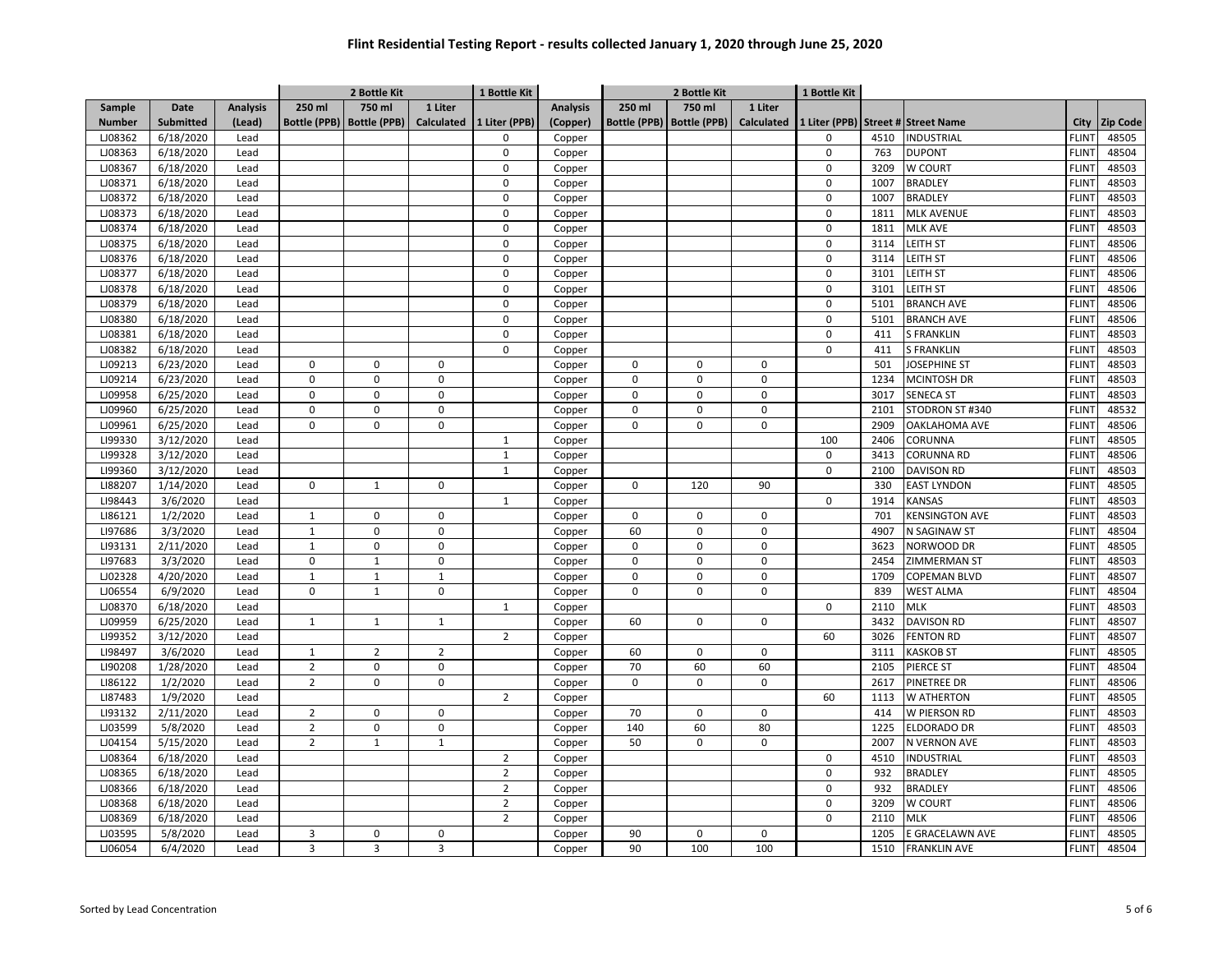|               |                  |                 |                | 2 Bottle Kit                |                   | 1 Bottle Kit   |                 | 2 Bottle Kit        |                     |                   | 1 Bottle Kit |      |                                    |                   |                 |
|---------------|------------------|-----------------|----------------|-----------------------------|-------------------|----------------|-----------------|---------------------|---------------------|-------------------|--------------|------|------------------------------------|-------------------|-----------------|
| Sample        | Date             | <b>Analysis</b> | 250 ml         | 750 ml                      | 1 Liter           |                | <b>Analysis</b> | 250 ml              | 750 ml              | 1 Liter           |              |      |                                    |                   |                 |
| <b>Number</b> | <b>Submitted</b> | (Lead)          |                | Bottle (PPB)   Bottle (PPB) | <b>Calculated</b> | 1 Liter (PPB)  | (Copper)        | <b>Bottle (PPB)</b> | <b>Bottle (PPB)</b> | <b>Calculated</b> |              |      | 1 Liter (PPB) Street # Street Name | City              | <b>Zip Code</b> |
| LJ08362       | 6/18/2020        | Lead            |                |                             |                   | $\mathbf 0$    | Copper          |                     |                     |                   | 0            | 4510 | <b>INDUSTRIAL</b>                  | <b>FLINT</b>      | 48505           |
| LJ08363       | 6/18/2020        | Lead            |                |                             |                   | $\mathbf 0$    | Copper          |                     |                     |                   | $\mathsf 0$  | 763  | <b>DUPONT</b>                      | <b>FLINT</b>      | 48504           |
| LJ08367       | 6/18/2020        | Lead            |                |                             |                   | 0              | Copper          |                     |                     |                   | $\mathbf 0$  | 3209 | W COURT                            | <b>FLINT</b>      | 48503           |
| LJ08371       | 6/18/2020        | Lead            |                |                             |                   | $\Omega$       | Copper          |                     |                     |                   | $\mathbf 0$  | 1007 | <b>BRADLEY</b>                     | <b>FLINT</b>      | 48503           |
| LJ08372       | 6/18/2020        | Lead            |                |                             |                   | $\Omega$       | Copper          |                     |                     |                   | 0            | 1007 | <b>BRADLEY</b>                     | <b>FLINT</b>      | 48503           |
| LJ08373       | 6/18/2020        | Lead            |                |                             |                   | $\Omega$       | Copper          |                     |                     |                   | $\Omega$     | 1811 | <b>MLK AVENUE</b>                  | <b>FLINT</b>      | 48503           |
| LJ08374       | 6/18/2020        | Lead            |                |                             |                   | $\Omega$       | Copper          |                     |                     |                   | 0            | 1811 | MLK AVE                            | <b>FLINT</b>      | 48503           |
| LJ08375       | 6/18/2020        | Lead            |                |                             |                   | $\Omega$       | Copper          |                     |                     |                   | 0            | 3114 | LEITH ST                           | <b>FLINT</b>      | 48506           |
| LJ08376       | 6/18/2020        | Lead            |                |                             |                   | $\mathbf 0$    | Copper          |                     |                     |                   | 0            | 3114 | LEITH ST                           | FLIN <sup>-</sup> | 48506           |
| LJ08377       | 6/18/2020        | Lead            |                |                             |                   | $\mathbf 0$    | Copper          |                     |                     |                   | 0            | 3101 | LEITH ST                           | <b>FLINT</b>      | 48506           |
| LJ08378       | 6/18/2020        | Lead            |                |                             |                   | $\mathbf 0$    | Copper          |                     |                     |                   | $\mathsf 0$  | 3101 | <b>LEITH ST</b>                    | <b>FLINT</b>      | 48506           |
| LJ08379       | 6/18/2020        | Lead            |                |                             |                   | $\mathbf 0$    | Copper          |                     |                     |                   | $\mathbf 0$  | 5101 | <b>BRANCH AVE</b>                  | <b>FLINT</b>      | 48506           |
| LJ08380       | 6/18/2020        | Lead            |                |                             |                   | $\pmb{0}$      | Copper          |                     |                     |                   | $\mathsf 0$  | 5101 | <b>BRANCH AVE</b>                  | <b>FLINT</b>      | 48506           |
| LJ08381       | 6/18/2020        | Lead            |                |                             |                   | $\mathbf 0$    | Copper          |                     |                     |                   | 0            | 411  | <b>S FRANKLIN</b>                  | <b>FLINT</b>      | 48503           |
| LJ08382       | 6/18/2020        | Lead            |                |                             |                   | $\mathbf 0$    | Copper          |                     |                     |                   | $\mathbf 0$  | 411  | <b>S FRANKLIN</b>                  | <b>FLINT</b>      | 48503           |
| LJ09213       | 6/23/2020        | Lead            | $\mathbf 0$    | $\mathbf 0$                 | $\mathbf 0$       |                | Copper          | $\mathbf 0$         | $\mathbf 0$         | $\mathbf 0$       |              | 501  | <b>JOSEPHINE ST</b>                | <b>FLINT</b>      | 48503           |
| LJ09214       | 6/23/2020        | Lead            | 0              | $\mathbf 0$                 | $\mathsf 0$       |                | Copper          | 0                   | 0                   | $\mathsf 0$       |              | 1234 | <b>MCINTOSH DR</b>                 | <b>FLINT</b>      | 48503           |
| LJ09958       | 6/25/2020        | Lead            | 0              | $\mathbf 0$                 | $\mathbf 0$       |                | Copper          | 0                   | 0                   | $\mathbf 0$       |              | 3017 | <b>SENECA ST</b>                   | <b>FLINT</b>      | 48503           |
| LJ09960       | 6/25/2020        | Lead            | 0              | $\mathbf 0$                 | $\mathsf 0$       |                | Copper          | $\Omega$            | $\mathbf 0$         | 0                 |              | 2101 | STODRON ST #340                    | <b>FLINT</b>      | 48532           |
| LJ09961       | 6/25/2020        | Lead            | $\mathbf 0$    | $\mathbf 0$                 | $\mathbf 0$       |                | Copper          | $\Omega$            | $\Omega$            | $\mathbf 0$       |              | 2909 | <b>OAKLAHOMA AVE</b>               | <b>FLINT</b>      | 48506           |
| LI99330       | 3/12/2020        | Lead            |                |                             |                   | $\mathbf{1}$   | Copper          |                     |                     |                   | 100          | 2406 | CORUNNA                            | <b>FLINT</b>      | 48505           |
| LI99328       | 3/12/2020        | Lead            |                |                             |                   | $\mathbf{1}$   | Copper          |                     |                     |                   | $\mathbf 0$  | 3413 | <b>CORUNNA RD</b>                  | <b>FLINT</b>      | 48506           |
| LI99360       | 3/12/2020        | Lead            |                |                             |                   | $\mathbf{1}$   | Copper          |                     |                     |                   | 0            | 2100 | <b>DAVISON RD</b>                  | FLIN <sup>-</sup> | 48503           |
| LI88207       | 1/14/2020        | Lead            | 0              | $\mathbf{1}$                | $\mathbf 0$       |                | Copper          | $\mathbf 0$         | 120                 | 90                |              | 330  | <b>EAST LYNDON</b>                 | <b>FLINT</b>      | 48505           |
| LI98443       | 3/6/2020         | Lead            |                |                             |                   | $\mathbf{1}$   | Copper          |                     |                     |                   | 0            | 1914 | <b>KANSAS</b>                      | <b>FLINT</b>      | 48503           |
| LI86121       | 1/2/2020         | Lead            | $\mathbf{1}$   | $\mathbf 0$                 | $\mathbf 0$       |                | Copper          | 0                   | 0                   | $\mathbf 0$       |              | 701  | <b>KENSINGTON AVE</b>              | <b>FLINT</b>      | 48503           |
| LI97686       | 3/3/2020         | Lead            | $\mathbf{1}$   | $\mathbf 0$                 | $\mathbf 0$       |                | Copper          | 60                  | $\pmb{0}$           | $\mathsf 0$       |              | 4907 | N SAGINAW ST                       | <b>FLINT</b>      | 48504           |
| LI93131       | 2/11/2020        | Lead            | $\mathbf{1}$   | $\mathbf 0$                 | $\mathbf 0$       |                | Copper          | 0                   | 0                   | 0                 |              | 3623 | NORWOOD DR                         | <b>FLINT</b>      | 48505           |
| LI97683       | 3/3/2020         | Lead            | 0              | $\mathbf{1}$                | $\mathsf 0$       |                | Copper          | $\Omega$            | $\Omega$            | 0                 |              | 2454 | ZIMMERMAN ST                       | <b>FLINT</b>      | 48503           |
| LJ02328       | 4/20/2020        | Lead            | $\mathbf 1$    | $\mathbf 1$                 | $\mathbf 1$       |                | Copper          | 0                   | $\mathbf 0$         | 0                 |              | 1709 | <b>COPEMAN BLVD</b>                | FLIN <sup>-</sup> | 48507           |
| LJ06554       | 6/9/2020         | Lead            | $\mathbf 0$    | $\mathbf{1}$                | $\mathbf 0$       |                | Copper          | $\Omega$            | $\Omega$            | $\mathbf 0$       |              | 839  | <b>WEST ALMA</b>                   | <b>FLINT</b>      | 48504           |
| LJ08370       | 6/18/2020        | Lead            |                |                             |                   | $\mathbf{1}$   | Copper          |                     |                     |                   | $\mathbf 0$  | 2110 | <b>MLK</b>                         | <b>FLINT</b>      | 48503           |
| LJ09959       | 6/25/2020        | Lead            | $\mathbf{1}$   | $\mathbf{1}$                | $\mathbf{1}$      |                | Copper          | 60                  | 0                   | $\mathbf 0$       |              | 3432 | <b>DAVISON RD</b>                  | <b>FLINT</b>      | 48507           |
| LI99352       | 3/12/2020        | Lead            |                |                             |                   | $\overline{2}$ | Copper          |                     |                     |                   | 60           | 3026 | <b>FENTON RD</b>                   | <b>FLINT</b>      | 48507           |
| LI98497       | 3/6/2020         | Lead            | $\mathbf{1}$   | $\overline{2}$              | $\overline{2}$    |                | Copper          | 60                  | $\Omega$            | $\mathbf 0$       |              | 3111 | <b>KASKOB ST</b>                   | <b>FLINT</b>      | 48505           |
| LI90208       | 1/28/2020        | Lead            | $\overline{2}$ | $\mathbf 0$                 | $\mathbf 0$       |                | Copper          | 70                  | 60                  | 60                |              | 2105 | PIERCE ST                          | <b>FLINT</b>      | 48504           |
| LI86122       | 1/2/2020         | Lead            | $\overline{2}$ | $\mathbf 0$                 | $\mathbf 0$       |                | Copper          | $\Omega$            | $\Omega$            | $\mathbf 0$       |              | 2617 | PINETREE DR                        | <b>FLINT</b>      | 48506           |
| LI87483       | 1/9/2020         | Lead            |                |                             |                   | $\overline{2}$ | Copper          |                     |                     |                   | 60           | 1113 | W ATHERTON                         | <b>FLINT</b>      | 48505           |
| LI93132       | 2/11/2020        | Lead            | $\overline{2}$ | $\mathbf 0$                 | $\mathbf 0$       |                | Copper          | 70                  | 0                   | $\mathbf 0$       |              | 414  | W PIERSON RD                       | <b>FLINT</b>      | 48503           |
| LJ03599       | 5/8/2020         | Lead            | $\overline{2}$ | $\mathbf 0$                 | $\mathbf 0$       |                | Copper          | 140                 | 60                  | 80                |              | 1225 | <b>ELDORADO DR</b>                 | <b>FLINT</b>      | 48503           |
| LJ04154       | 5/15/2020        | Lead            | $\overline{2}$ | $\mathbf{1}$                | $\mathbf{1}$      |                | Copper          | 50                  | $\mathbf 0$         | $\mathbf 0$       |              | 2007 | N VERNON AVE                       | <b>FLINT</b>      | 48503           |
| LJ08364       | 6/18/2020        | Lead            |                |                             |                   | $\overline{2}$ | Copper          |                     |                     |                   | 0            | 4510 | INDUSTRIAL                         | <b>FLINT</b>      | 48503           |
| LJ08365       | 6/18/2020        | Lead            |                |                             |                   | $\overline{2}$ |                 |                     |                     |                   | $\mathbf 0$  | 932  | <b>BRADLEY</b>                     | <b>FLINT</b>      | 48505           |
| LJ08366       | 6/18/2020        | Lead            |                |                             |                   | $\overline{2}$ | Copper          |                     |                     |                   | $\mathbf 0$  | 932  | <b>BRADLEY</b>                     | <b>FLINT</b>      | 48506           |
| LJ08368       | 6/18/2020        | Lead            |                |                             |                   | $\overline{2}$ | Copper          |                     |                     |                   | $\mathbf 0$  | 3209 | W COURT                            | <b>FLINT</b>      | 48506           |
| LJ08369       | 6/18/2020        |                 |                |                             |                   | $\overline{2}$ | Copper          |                     |                     |                   | 0            | 2110 | <b>MLK</b>                         | <b>FLINT</b>      | 48506           |
| LJ03595       | 5/8/2020         | Lead<br>Lead    | 3              | $\mathbf 0$                 | $\overline{0}$    |                | Copper          | 90                  | 0                   | $\mathbf 0$       |              | 1205 | E GRACELAWN AVE                    | <b>FLINT</b>      | 48505           |
|               |                  |                 |                |                             |                   |                | Copper          |                     |                     |                   |              |      |                                    |                   |                 |
| LJ06054       | 6/4/2020         | Lead            | 3              | 3                           | $\overline{3}$    |                | Copper          | 90                  | 100                 | 100               |              | 1510 | <b>FRANKLIN AVE</b>                | <b>FLINT</b>      | 48504           |